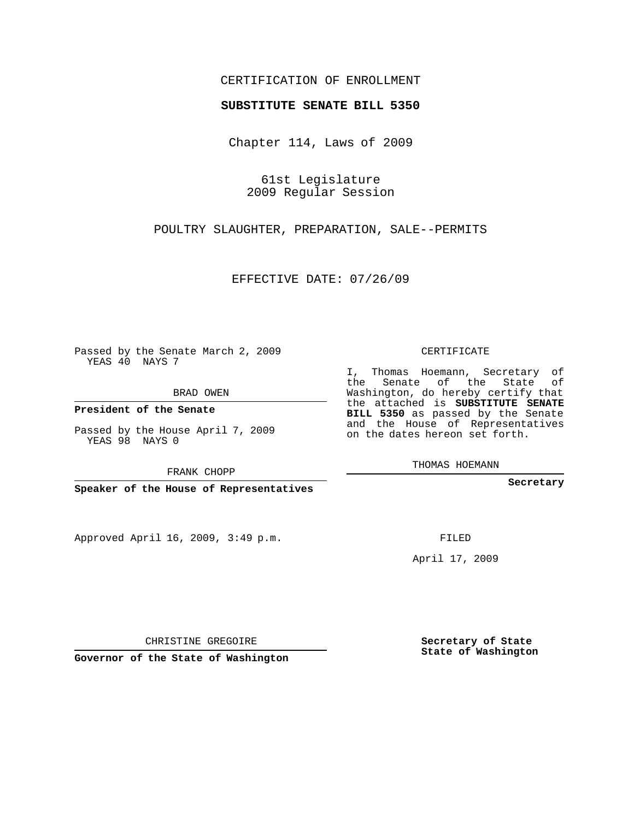## CERTIFICATION OF ENROLLMENT

## **SUBSTITUTE SENATE BILL 5350**

Chapter 114, Laws of 2009

61st Legislature 2009 Regular Session

POULTRY SLAUGHTER, PREPARATION, SALE--PERMITS

EFFECTIVE DATE: 07/26/09

Passed by the Senate March 2, 2009 YEAS 40 NAYS 7

BRAD OWEN

**President of the Senate**

Passed by the House April 7, 2009 YEAS 98 NAYS 0

FRANK CHOPP

**Speaker of the House of Representatives**

Approved April 16, 2009, 3:49 p.m.

CERTIFICATE

I, Thomas Hoemann, Secretary of the Senate of the State of Washington, do hereby certify that the attached is **SUBSTITUTE SENATE BILL 5350** as passed by the Senate and the House of Representatives on the dates hereon set forth.

THOMAS HOEMANN

**Secretary**

FILED

April 17, 2009

**Secretary of State State of Washington**

CHRISTINE GREGOIRE

**Governor of the State of Washington**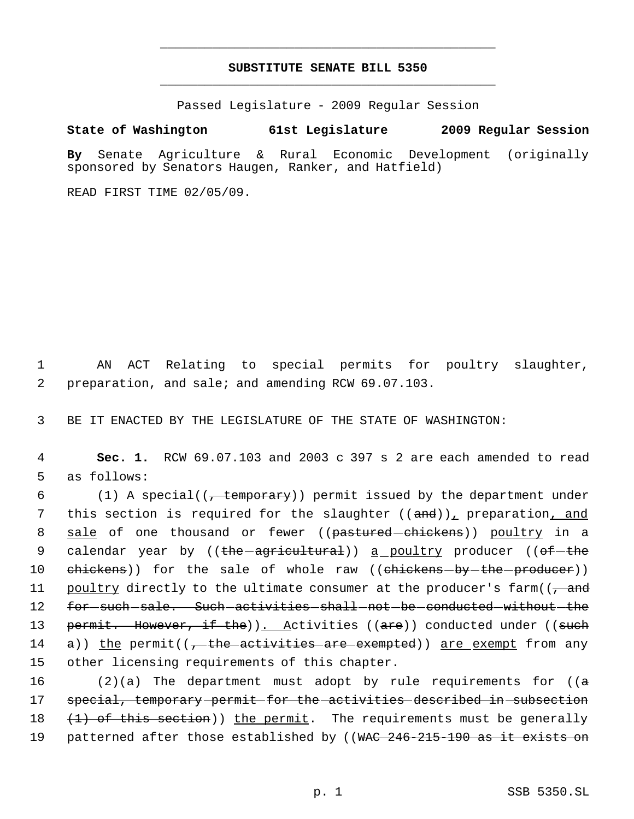## **SUBSTITUTE SENATE BILL 5350** \_\_\_\_\_\_\_\_\_\_\_\_\_\_\_\_\_\_\_\_\_\_\_\_\_\_\_\_\_\_\_\_\_\_\_\_\_\_\_\_\_\_\_\_\_

\_\_\_\_\_\_\_\_\_\_\_\_\_\_\_\_\_\_\_\_\_\_\_\_\_\_\_\_\_\_\_\_\_\_\_\_\_\_\_\_\_\_\_\_\_

Passed Legislature - 2009 Regular Session

## **State of Washington 61st Legislature 2009 Regular Session**

**By** Senate Agriculture & Rural Economic Development (originally sponsored by Senators Haugen, Ranker, and Hatfield)

READ FIRST TIME 02/05/09.

 1 AN ACT Relating to special permits for poultry slaughter, 2 preparation, and sale; and amending RCW 69.07.103.

3 BE IT ENACTED BY THE LEGISLATURE OF THE STATE OF WASHINGTON:

 4 **Sec. 1.** RCW 69.07.103 and 2003 c 397 s 2 are each amended to read 5 as follows:

6  $(1)$  A special( $\overline{1}$ , temporary)) permit issued by the department under 7 this section is required for the slaughter ((and)), preparation, and 8 <u>sale</u> of one thousand or fewer ((<del>pastured chickens</del>)) <u>poultry</u> in a 9 calendar year by ((<del>the agricultural</del>)) <u>a poultry</u> producer ((<del>of the</del> 10 ehickens)) for the sale of whole raw ((chickens-by-the-producer)) 11 poultry directly to the ultimate consumer at the producer's farm((, and 12 for such sale. Such activities shall not be conducted without the 13 permit. However, if the)). Activities ((are)) conducted under ((such 14  $\alpha$ )) the permit((, the activities are exempted)) are exempt from any 15 other licensing requirements of this chapter.

 $(2)(a)$  The department must adopt by rule requirements for  $(a + b)$  special, temporary permit for the activities described in subsection  $(1)$  of this section)) the permit. The requirements must be generally 19 patterned after those established by ((WAC 246-215-190 as it exists on